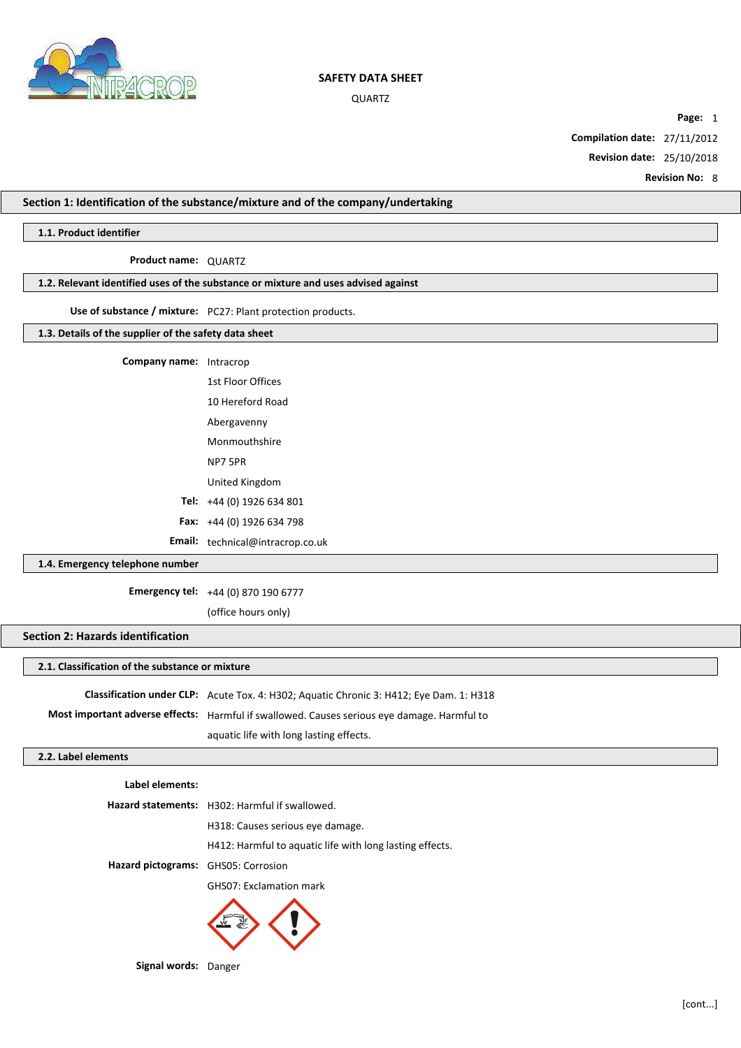

QUARTZ

**Page:** 1

**Compilation date:** 27/11/2012

**Revision date:** 25/10/2018

**Revision No:** 8

## **Section 1: Identification of the substance/mixture and of the company/undertaking**

## **1.1. Product identifier**

# **Product name:** QUARTZ

# **1.2. Relevant identified uses of the substance or mixture and uses advised against**

## **Use of substance / mixture:** PC27: Plant protection products.

# **1.3. Details of the supplier of the safety data sheet**

| <b>Company name:</b> Intracrop |                                         |
|--------------------------------|-----------------------------------------|
|                                | 1st Floor Offices                       |
|                                | 10 Hereford Road                        |
|                                | Abergavenny                             |
|                                | Monmouthshire                           |
|                                | NP7 5PR                                 |
|                                | United Kingdom                          |
|                                | Tel: $+44(0)$ 1926 634 801              |
|                                | <b>Fax:</b> $+44(0)$ 1926 634 798       |
|                                | <b>Email:</b> technical@intracrop.co.uk |

# **1.4. Emergency telephone number**

**Emergency tel:** +44 (0) 870 190 6777

(office hours only)

# **Section 2: Hazards identification**

# **2.1. Classification of the substance or mixture**

**Classification under CLP:** Acute Tox. 4: H302; Aquatic Chronic 3: H412; Eye Dam. 1: H318 **Most important adverse effects:** Harmful if swallowed. Causes serious eye damage. Harmful to aquatic life with long lasting effects.

## **2.2. Label elements**

# **Label elements:**

**Hazard statements:** H302: Harmful if swallowed. H318: Causes serious eye damage. H412: Harmful to aquatic life with long lasting effects. **Hazard pictograms:** GHS05: Corrosion GHS07: Exclamation mark



**Signal words:** Danger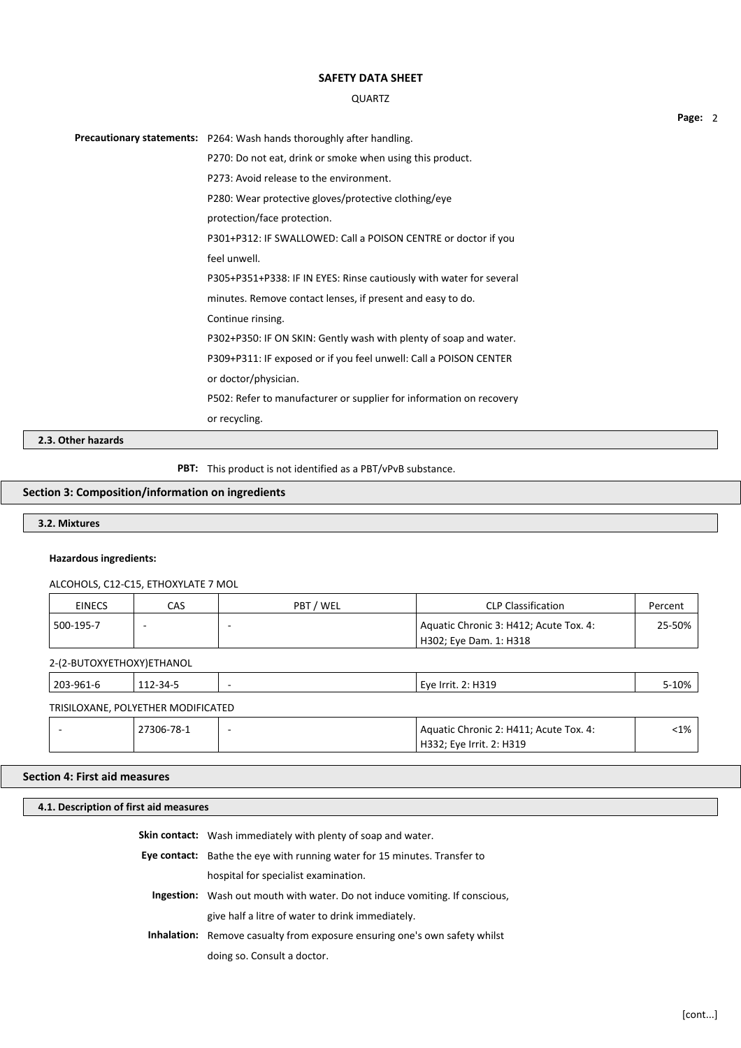### QUARTZ

Precautionary statements: P264: Wash hands thoroughly after handling. P270: Do not eat, drink or smoke when using this product. P273: Avoid release to the environment. P280: Wear protective gloves/protective clothing/eye protection/face protection. P301+P312: IF SWALLOWED: Call a POISON CENTRE or doctor if you feel unwell. P305+P351+P338: IF IN EYES: Rinse cautiously with water for several minutes. Remove contact lenses, if present and easy to do. Continue rinsing. P302+P350: IF ON SKIN: Gently wash with plenty of soap and water. P309+P311: IF exposed or if you feel unwell: Call a POISON CENTER or doctor/physician. P502: Refer to manufacturer or supplier for information on recovery or recycling.

**2.3. Other hazards**

**PBT:** This product is not identified as a PBT/vPvB substance.

### **Section 3: Composition/information on ingredients**

**3.2. Mixtures**

### **Hazardous ingredients:**

ALCOHOLS, C12-C15, ETHOXYLATE 7 MOL

| <b>EINECS</b> | CAS | PBT / WEL | <b>CLP Classification</b>              | Percent |
|---------------|-----|-----------|----------------------------------------|---------|
| 500-195-7     |     |           | Aquatic Chronic 3: H412; Acute Tox. 4: | 25-50%  |
|               |     |           | <sup>'</sup> H302; Eve Dam. 1: H318    |         |

2-(2-BUTOXYETHOXY)ETHANOL

| 203-961-6                          | 112-34-5   |                          | Eve Irrit. 2: H319                     |         |
|------------------------------------|------------|--------------------------|----------------------------------------|---------|
| TRISILOXANE, POLYETHER MODIFICATED |            |                          |                                        |         |
|                                    | 27306-78-1 | $\overline{\phantom{a}}$ | Aquatic Chronic 2: H411; Acute Tox. 4: | $< 1\%$ |
|                                    |            |                          | H332; Eye Irrit. 2: H319               |         |

## **Section 4: First aid measures**

| 4.1. Description of first aid measures                                    |                                                                                    |  |  |  |
|---------------------------------------------------------------------------|------------------------------------------------------------------------------------|--|--|--|
|                                                                           | <b>Skin contact:</b> Wash immediately with plenty of soap and water.               |  |  |  |
|                                                                           |                                                                                    |  |  |  |
| Eye contact: Bathe the eye with running water for 15 minutes. Transfer to |                                                                                    |  |  |  |
|                                                                           | hospital for specialist examination.                                               |  |  |  |
|                                                                           | <b>Ingestion:</b> Wash out mouth with water. Do not induce vomiting. If conscious, |  |  |  |

give half a litre of water to drink immediately.

**Inhalation:** Remove casualty from exposure ensuring one's own safety whilst doing so. Consult a doctor.

**Page:** 2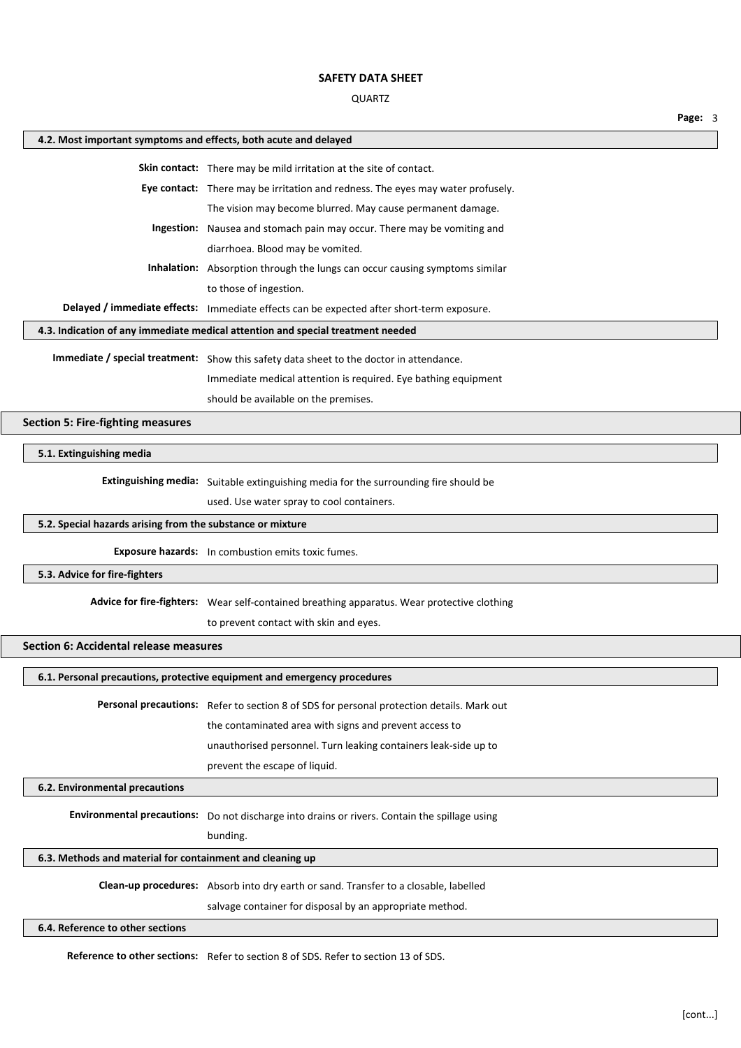## QUARTZ

| 4.2. Most important symptoms and effects, both acute and delayed |                                                                                               |  |  |  |
|------------------------------------------------------------------|-----------------------------------------------------------------------------------------------|--|--|--|
|                                                                  | Skin contact: There may be mild irritation at the site of contact.                            |  |  |  |
|                                                                  | Eye contact: There may be irritation and redness. The eyes may water profusely.               |  |  |  |
|                                                                  | The vision may become blurred. May cause permanent damage.                                    |  |  |  |
|                                                                  | Ingestion: Nausea and stomach pain may occur. There may be vomiting and                       |  |  |  |
|                                                                  | diarrhoea. Blood may be vomited.                                                              |  |  |  |
|                                                                  | <b>Inhalation:</b> Absorption through the lungs can occur causing symptoms similar            |  |  |  |
|                                                                  | to those of ingestion.                                                                        |  |  |  |
|                                                                  | Delayed / immediate effects: Immediate effects can be expected after short-term exposure.     |  |  |  |
|                                                                  | 4.3. Indication of any immediate medical attention and special treatment needed               |  |  |  |
|                                                                  |                                                                                               |  |  |  |
|                                                                  | Immediate / special treatment: Show this safety data sheet to the doctor in attendance.       |  |  |  |
|                                                                  | Immediate medical attention is required. Eye bathing equipment                                |  |  |  |
|                                                                  | should be available on the premises.                                                          |  |  |  |
| <b>Section 5: Fire-fighting measures</b>                         |                                                                                               |  |  |  |
| 5.1. Extinguishing media                                         |                                                                                               |  |  |  |
|                                                                  |                                                                                               |  |  |  |
|                                                                  | Extinguishing media: Suitable extinguishing media for the surrounding fire should be          |  |  |  |
|                                                                  | used. Use water spray to cool containers.                                                     |  |  |  |
| 5.2. Special hazards arising from the substance or mixture       |                                                                                               |  |  |  |
|                                                                  | <b>Exposure hazards:</b> In combustion emits toxic fumes.                                     |  |  |  |
| 5.3. Advice for fire-fighters                                    |                                                                                               |  |  |  |
|                                                                  |                                                                                               |  |  |  |
|                                                                  | Advice for fire-fighters: Wear self-contained breathing apparatus. Wear protective clothing   |  |  |  |
|                                                                  | to prevent contact with skin and eyes.                                                        |  |  |  |
| <b>Section 6: Accidental release measures</b>                    |                                                                                               |  |  |  |
|                                                                  | 6.1. Personal precautions, protective equipment and emergency procedures                      |  |  |  |
|                                                                  | Personal precautions: Refer to section 8 of SDS for personal protection details. Mark out     |  |  |  |
|                                                                  | the contaminated area with signs and prevent access to                                        |  |  |  |
|                                                                  | unauthorised personnel. Turn leaking containers leak-side up to                               |  |  |  |
|                                                                  | prevent the escape of liquid.                                                                 |  |  |  |
| 6.2. Environmental precautions                                   |                                                                                               |  |  |  |
|                                                                  |                                                                                               |  |  |  |
|                                                                  | Environmental precautions: Do not discharge into drains or rivers. Contain the spillage using |  |  |  |
|                                                                  | bunding.                                                                                      |  |  |  |
| 6.3. Methods and material for containment and cleaning up        |                                                                                               |  |  |  |
|                                                                  | Clean-up procedures: Absorb into dry earth or sand. Transfer to a closable, labelled          |  |  |  |
|                                                                  | salvage container for disposal by an appropriate method.                                      |  |  |  |
| 6.4. Reference to other sections                                 |                                                                                               |  |  |  |

**Reference to other sections:** Refer to section 8 of SDS. Refer to section 13 of SDS.

**Page:** 3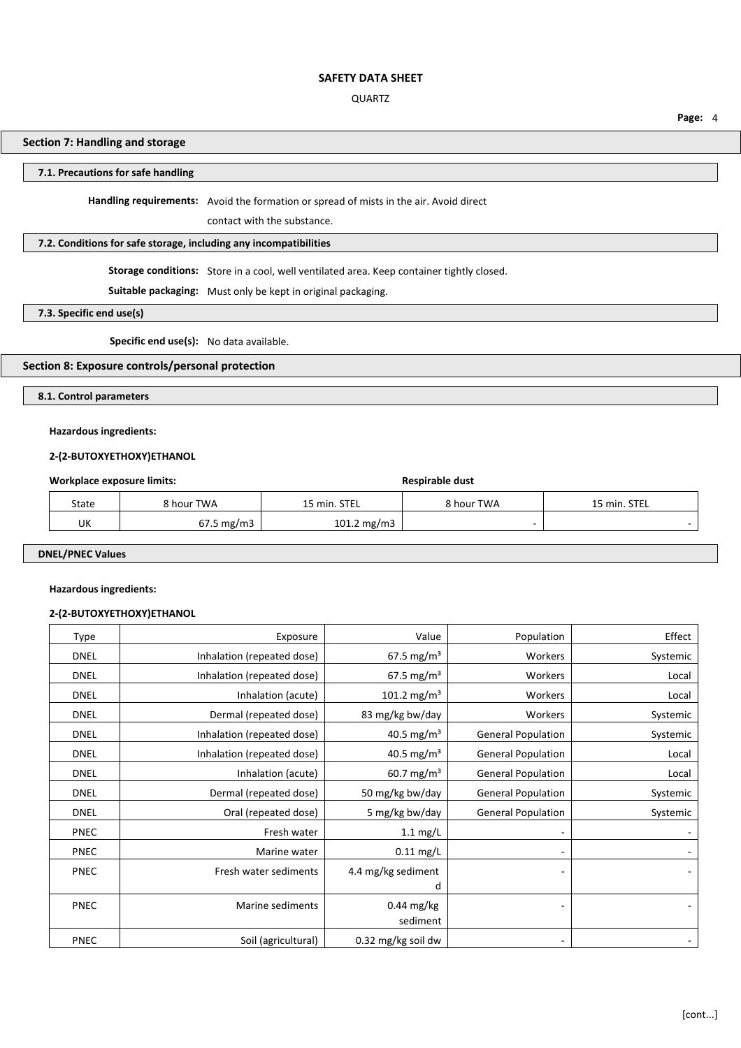### QUARTZ

### **Page:** 4

## **Section 7: Handling and storage**

## **7.1. Precautions for safe handling**

**Handling requirements:** Avoid the formation or spread of mists in the air. Avoid direct

contact with the substance.

## **7.2. Conditions for safe storage, including any incompatibilities**

**Storage conditions:** Store in a cool, well ventilated area. Keep container tightly closed.

**Suitable packaging:** Must only be kept in original packaging.

### **7.3. Specific end use(s)**

**Specific end use(s):** No data available.

## **Section 8: Exposure controls/personal protection**

## **8.1. Control parameters**

## **Hazardous ingredients:**

## **2-(2-BUTOXYETHOXY)ETHANOL**

## **Workplace exposure limits: Respirable dust Respirable dust**

| State | 8 hour TWA              | 15 min. STEL  | 8 hour TWA | 15 min. STEL |
|-------|-------------------------|---------------|------------|--------------|
| UK    | $67.5 \,\mathrm{mg/m3}$ | 101.2 $mg/m3$ |            |              |

# **DNEL/PNEC Values**

### **Hazardous ingredients:**

### **2-(2-BUTOXYETHOXY)ETHANOL**

| Type        | Exposure                   | Value                    | Population                | Effect   |
|-------------|----------------------------|--------------------------|---------------------------|----------|
| <b>DNEL</b> | Inhalation (repeated dose) | 67.5 mg/m <sup>3</sup>   | Workers                   | Systemic |
| <b>DNEL</b> | Inhalation (repeated dose) | 67.5 mg/m <sup>3</sup>   | Workers                   | Local    |
| <b>DNEL</b> | Inhalation (acute)         | 101.2 mg/m <sup>3</sup>  | Workers                   | Local    |
| <b>DNEL</b> | Dermal (repeated dose)     | 83 mg/kg bw/day          | Workers                   | Systemic |
| <b>DNEL</b> | Inhalation (repeated dose) | 40.5 mg/m <sup>3</sup>   | <b>General Population</b> | Systemic |
| <b>DNEL</b> | Inhalation (repeated dose) | 40.5 mg/m <sup>3</sup>   | <b>General Population</b> | Local    |
| <b>DNEL</b> | Inhalation (acute)         | $60.7 \text{ mg/m}^3$    | <b>General Population</b> | Local    |
| <b>DNEL</b> | Dermal (repeated dose)     | 50 mg/kg bw/day          | <b>General Population</b> | Systemic |
| <b>DNEL</b> | Oral (repeated dose)       | 5 mg/kg bw/day           | <b>General Population</b> | Systemic |
| <b>PNEC</b> | Fresh water                | $1.1 \text{ mg/L}$       |                           |          |
| <b>PNEC</b> | Marine water               | $0.11$ mg/L              |                           |          |
| <b>PNEC</b> | Fresh water sediments      | 4.4 mg/kg sediment       |                           |          |
|             |                            | d                        |                           |          |
| <b>PNEC</b> | Marine sediments           | $0.44$ mg/kg<br>sediment |                           |          |
| <b>PNEC</b> | Soil (agricultural)        | 0.32 mg/kg soil dw       |                           |          |
|             |                            |                          |                           |          |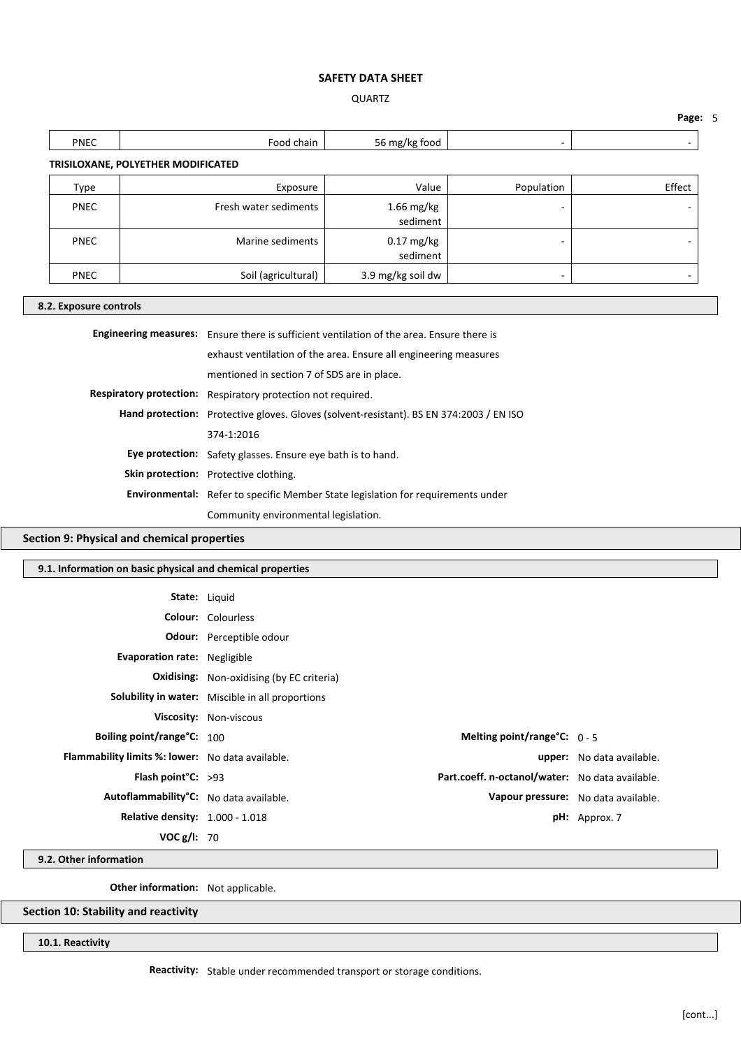## QUARTZ

**Page:** 5 ٦

| <b>PNEC</b>                                                                                                                                                          | Food chain            | 56 mg/kg food            | ٠                        | -      |  |  |  |  |
|----------------------------------------------------------------------------------------------------------------------------------------------------------------------|-----------------------|--------------------------|--------------------------|--------|--|--|--|--|
| TRISILOXANE, POLYETHER MODIFICATED                                                                                                                                   |                       |                          |                          |        |  |  |  |  |
| <b>Type</b>                                                                                                                                                          | Exposure              | Value                    | Population               | Effect |  |  |  |  |
| <b>PNEC</b>                                                                                                                                                          | Fresh water sediments | $1.66$ mg/kg<br>sediment |                          |        |  |  |  |  |
| <b>PNEC</b>                                                                                                                                                          | Marine sediments      | $0.17$ mg/kg<br>sediment | $\overline{\phantom{a}}$ |        |  |  |  |  |
| <b>PNEC</b>                                                                                                                                                          | Soil (agricultural)   | 3.9 mg/kg soil dw        | ۰                        |        |  |  |  |  |
| 8.2. Exposure controls                                                                                                                                               |                       |                          |                          |        |  |  |  |  |
| <b>Engineering measures:</b> Ensure there is sufficient ventilation of the area. Ensure there is<br>ayhoust usptilation of the area. Encure all angineering measures |                       |                          |                          |        |  |  |  |  |

| exhaust ventilation of the area. Ensure all engineering measures                        |  |  |
|-----------------------------------------------------------------------------------------|--|--|
| mentioned in section 7 of SDS are in place.                                             |  |  |
| Respiratory protection: Respiratory protection not required.                            |  |  |
| Hand protection: Protective gloves. Gloves (solvent-resistant). BS EN 374:2003 / EN ISO |  |  |
| 374-1:2016                                                                              |  |  |
| Eye protection: Safety glasses. Ensure eye bath is to hand.                             |  |  |
| Skin protection: Protective clothing.                                                   |  |  |
| <b>Environmental:</b> Refer to specific Member State legislation for requirements under |  |  |
| Community environmental legislation.                                                    |  |  |

## **Section 9: Physical and chemical properties**

## **9.1. Information on basic physical and chemical properties**

| <b>State:</b> Liquid                                |                                                  |                                                 |                                     |
|-----------------------------------------------------|--------------------------------------------------|-------------------------------------------------|-------------------------------------|
|                                                     | <b>Colour:</b> Colourless                        |                                                 |                                     |
|                                                     | <b>Odour:</b> Perceptible odour                  |                                                 |                                     |
| Evaporation rate: Negligible                        |                                                  |                                                 |                                     |
|                                                     | <b>Oxidising:</b> Non-oxidising (by EC criteria) |                                                 |                                     |
|                                                     | Solubility in water: Miscible in all proportions |                                                 |                                     |
|                                                     | Viscosity: Non-viscous                           |                                                 |                                     |
| Boiling point/range°C: 100                          |                                                  | Melting point/range $C: 0 - 5$                  |                                     |
| Flammability limits %: lower: No data available.    |                                                  |                                                 | <b>upper:</b> No data available.    |
| Flash point $C: >93$                                |                                                  | Part.coeff. n-octanol/water: No data available. |                                     |
| Autoflammability <sup>°</sup> C: No data available. |                                                  |                                                 | Vapour pressure: No data available. |
| <b>Relative density:</b> 1.000 - 1.018              |                                                  |                                                 | $pH:$ Approx. 7                     |
| VOC g/I: 70                                         |                                                  |                                                 |                                     |

**9.2. Other information**

**Other information:** Not applicable.

**Section 10: Stability and reactivity**

**10.1. Reactivity**

**Reactivity:** Stable under recommended transport or storage conditions.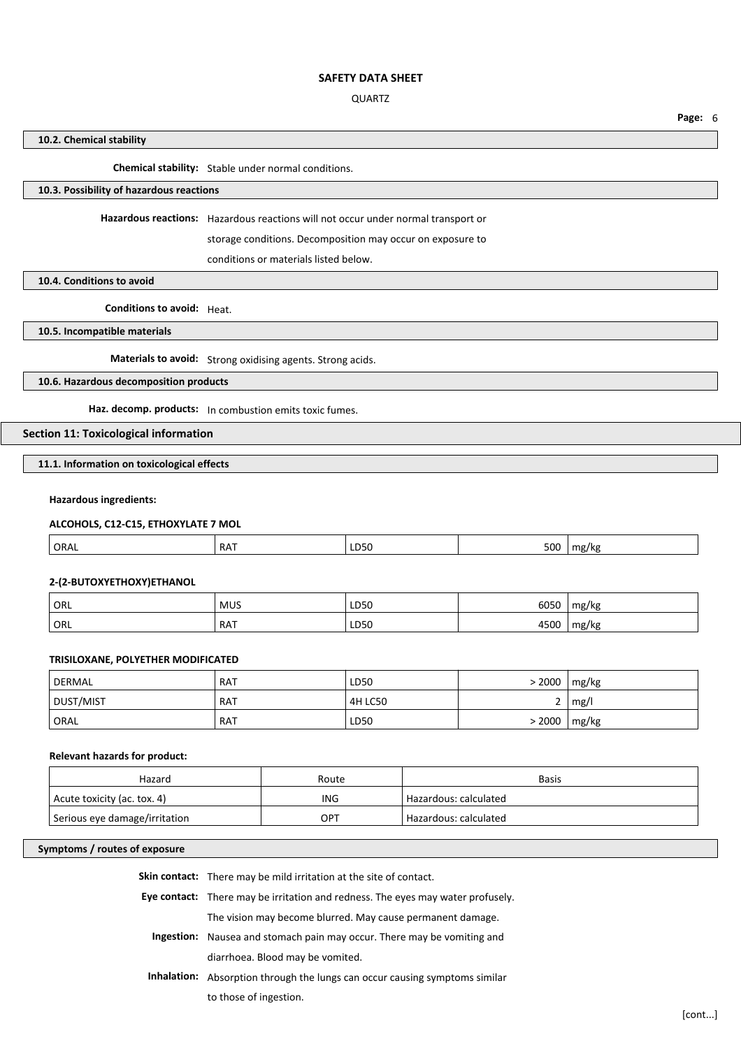### QUARTZ

**Page:** 6

### **10.2. Chemical stability**

**Chemical stability:** Stable under normal conditions.

# **10.3. Possibility of hazardous reactions**

**Hazardous reactions:** Hazardous reactions will not occur under normal transport or

storage conditions. Decomposition may occur on exposure to

conditions or materials listed below.

## **10.4. Conditions to avoid**

**Conditions to avoid:** Heat.

**10.5. Incompatible materials**

## **Materials to avoid:** Strong oxidising agents. Strong acids.

## **10.6. Hazardous decomposition products**

**Haz. decomp. products:** In combustion emits toxic fumes.

# **Section 11: Toxicological information**

## **11.1. Information on toxicological effects**

### **Hazardous ingredients:**

## **ALCOHOLS, C12-C15, ETHOXYLATE 7 MOL**

| ORAL | <b>RAT</b> | LD50 | 500 | ma/ko |
|------|------------|------|-----|-------|
|      |            |      |     |       |

## **2-(2-BUTOXYETHOXY)ETHANOL**

| ORL | <b>MUS</b> | LD50 | 6050         | mg/kg |
|-----|------------|------|--------------|-------|
| ORL | RAT        | LD50 | 1000<br>∗JUU | mg/kg |

## **TRISILOXANE, POLYETHER MODIFICATED**

| <b>DERMAL</b> | <b>RAT</b> | LD50           | > 2000 | mg/kg |
|---------------|------------|----------------|--------|-------|
| DUST/MIST     | <b>RAT</b> | <b>4H LC50</b> |        | mg/l  |
| ORAL          | RAT        | LD50           | > 2000 | mg/kg |

## **Relevant hazards for product:**

| Hazard                        | Route | <b>Basis</b>                       |
|-------------------------------|-------|------------------------------------|
| Acute toxicity (ac. tox. 4)   | ING   | Hazardous: calculated              |
| Serious eye damage/irritation | OPT   | <sup>1</sup> Hazardous: calculated |

### **Symptoms / routes of exposure**

| <b>Skin contact:</b> There may be mild irritation at the site of contact.              |  |
|----------------------------------------------------------------------------------------|--|
| <b>Eye contact:</b> There may be irritation and redness. The eyes may water profusely. |  |
| The vision may become blurred. May cause permanent damage.                             |  |
| <b>Ingestion:</b> Nausea and stomach pain may occur. There may be vomiting and         |  |
| diarrhoea. Blood may be vomited.                                                       |  |
| <b>Inhalation:</b> Absorption through the lungs can occur causing symptoms similar     |  |
| to those of ingestion.                                                                 |  |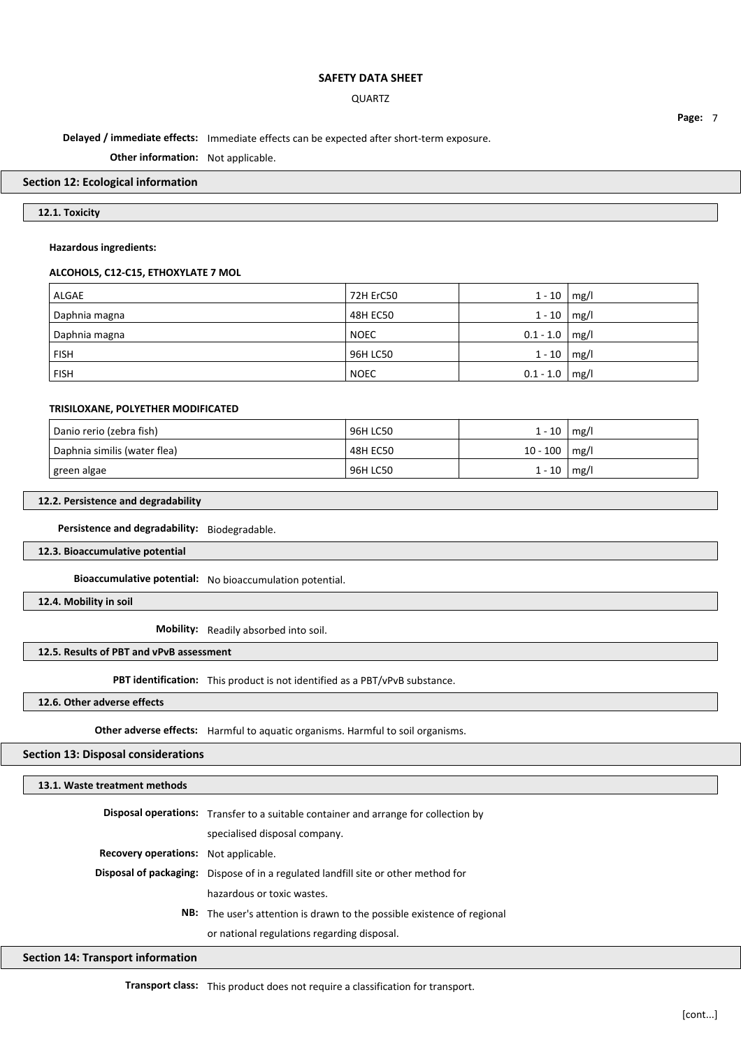### QUARTZ

**Delayed / immediate effects:** Immediate effects can be expected after short-term exposure.

**Other information:** Not applicable.

### **Section 12: Ecological information**

## **12.1. Toxicity**

### **Hazardous ingredients:**

### **ALCOHOLS, C12-C15, ETHOXYLATE 7 MOL**

| ALGAE         | 72H ErC50   | $1 - 10$           | $\mid$ mg/ $\mid$ |
|---------------|-------------|--------------------|-------------------|
| Daphnia magna | 48H EC50    | $1 - 10$           | mg/l              |
| Daphnia magna | <b>NOEC</b> | $0.1 - 1.0$   mg/l |                   |
| <b>FISH</b>   | 96H LC50    | $1 - 10$   mg/l    |                   |
| <b>FISH</b>   | <b>NOEC</b> | $0.1 - 1.0$   mg/l |                   |

### **TRISILOXANE, POLYETHER MODIFICATED**

| Danio rerio (zebra fish)     | 96H LC50 | $1 - 10$   | mg/  |
|------------------------------|----------|------------|------|
| Daphnia similis (water flea) | 48H EC50 | $10 - 100$ | mg/l |
| green algae                  | 96H LC50 | $1 - 10$   | mg/l |

## **12.2. Persistence and degradability**

**Persistence and degradability:** Biodegradable.

## **12.3. Bioaccumulative potential**

**Bioaccumulative potential:** No bioaccumulation potential.

**12.4. Mobility in soil**

**Mobility:** Readily absorbed into soil.

## **12.5. Results of PBT and vPvB assessment**

**PBT identification:** This product is not identified as a PBT/vPvB substance.

**12.6. Other adverse effects**

**Other adverse effects:** Harmful to aquatic organisms. Harmful to soil organisms.

## **Section 13: Disposal considerations**

#### **13.1. Waste treatment methods**

|                                             | <b>Disposal operations:</b> Transfer to a suitable container and arrange for collection by |  |
|---------------------------------------------|--------------------------------------------------------------------------------------------|--|
|                                             | specialised disposal company.                                                              |  |
| <b>Recovery operations:</b> Not applicable. |                                                                                            |  |
|                                             | <b>Disposal of packaging:</b> Dispose of in a regulated landfill site or other method for  |  |
|                                             | hazardous or toxic wastes.                                                                 |  |
|                                             | <b>NB:</b> The user's attention is drawn to the possible existence of regional             |  |
|                                             | or national regulations regarding disposal.                                                |  |

### **Section 14: Transport information**

**Transport class:** This product does not require a classification for transport.